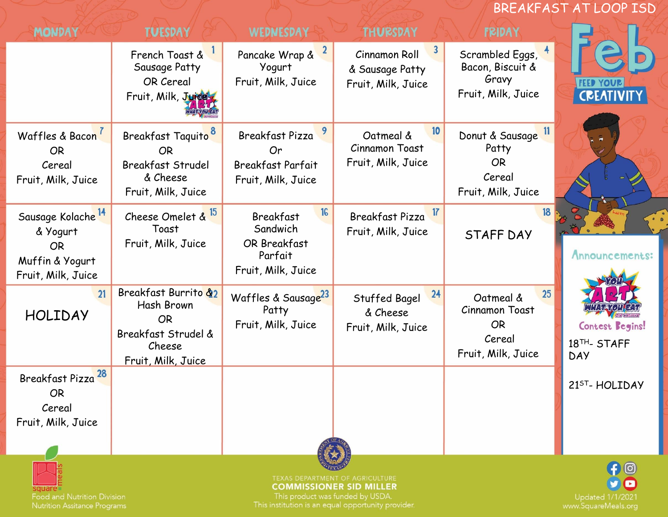|                                                                                                 |                                                                                                           |                                                                                     |                                                                   |                                                                                       | BREAKFAST AT LOOP ISD                |
|-------------------------------------------------------------------------------------------------|-----------------------------------------------------------------------------------------------------------|-------------------------------------------------------------------------------------|-------------------------------------------------------------------|---------------------------------------------------------------------------------------|--------------------------------------|
| <b>MONDAY</b>                                                                                   | <b>TUESDAY</b>                                                                                            | <b>WEDNESDAY</b>                                                                    | <b>THURSDAY</b>                                                   | <b>FRIDAY</b>                                                                         |                                      |
|                                                                                                 | French Toast &<br>Sausage Patty<br>OR Cereal<br>Fruit, Milk, Juree                                        | $\overline{a}$<br>Pancake Wrap &<br>Yogurt<br>Fruit, Milk, Juice                    | Cinnamon Roll<br>& Sausage Patty<br>Fruit, Milk, Juice            | Scrambled Eggs,<br>Bacon, Biscuit &<br>Gravy<br>Fruit, Milk, Juice                    | <b>FEED YOUR</b>                     |
| Waffles & Bacon<br><b>OR</b><br>Cereal<br>Fruit, Milk, Juice                                    | Breakfast Taquito <sup>8</sup><br><b>OR</b><br><b>Breakfast Strudel</b><br>& Cheese<br>Fruit, Milk, Juice | Breakfast Pizza<br>Or<br><b>Breakfast Parfait</b><br>Fruit, Milk, Juice             | 10<br>Oatmeal &<br><b>Cinnamon Toast</b><br>Fruit, Milk, Juice    | Donut & Sausage 11<br>Patty<br><b>OR</b><br>Cereal<br>Fruit, Milk, Juice              |                                      |
| Sausage Kolache <sup>14</sup><br>& Yogurt<br><b>OR</b><br>Muffin & Yogurt<br>Fruit, Milk, Juice | Cheese Omelet & 15<br>Toast<br>Fruit, Milk, Juice                                                         | 16<br><b>Breakfast</b><br>Sandwich<br>OR Breakfast<br>Parfait<br>Fruit, Milk, Juice | $\mathbf{17}$<br>Breakfast Pizza<br>Fruit, Milk, Juice            | <b>STAFF DAY</b>                                                                      | Announcements:                       |
| 21<br><b>HOLIDAY</b>                                                                            | Breakfast Burrito &2<br>Hash Brown<br><b>OR</b><br>Breakfast Strudel &<br>Cheese<br>Fruit, Milk, Juice    | Waffles & Sausage <sup>23</sup><br>Patty<br>Fruit, Milk, Juice                      | 24<br>Stuffed Bagel<br>& Cheese<br>Fruit, Milk, Juice             | 25<br>Oatmeal &<br><b>Cinnamon Toast</b><br><b>OR</b><br>Cereal<br>Fruit, Milk, Juice | Contest Begins!<br>18TH-STAFF<br>DAY |
| 28<br>Breakfast Pizza<br><b>OR</b><br>Cereal<br>Fruit, Milk, Juice                              |                                                                                                           |                                                                                     |                                                                   |                                                                                       | 21 <sup>ST</sup> -HOLIDAY            |
| Food and Nutrition Division                                                                     |                                                                                                           | This product was funded by USDA.                                                    | TEXAS DEPARTMENT OF AGRICULTURE<br><b>COMMISSIONER SID MILLER</b> |                                                                                       | $f \circ$<br>Updated 1/1/202         |